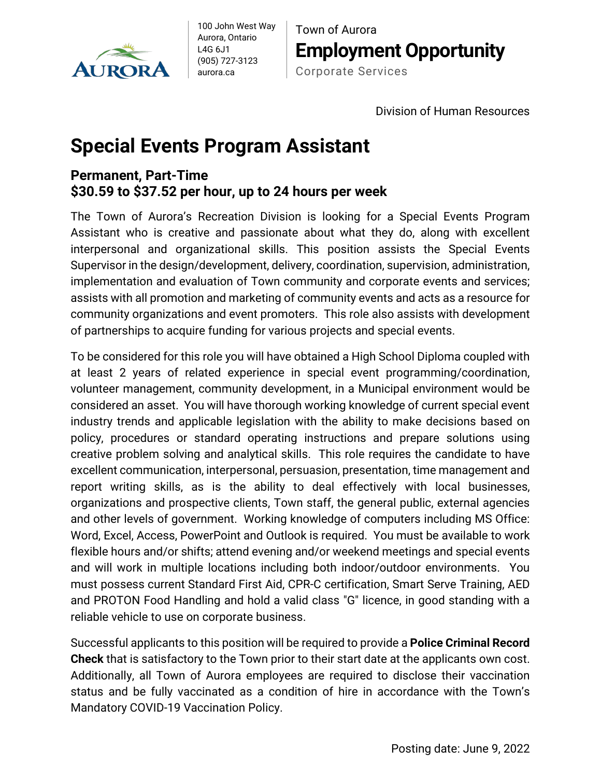

100 John West Way Aurora, Ontario L4G 6J1 (905) 727-3123 aurora.ca

Town of Aurora **Employment Opportunity** Corporate Services

Division of Human Resources

## **Special Events Program Assistant**

## **Permanent, Part-Time \$30.59 to \$37.52 per hour, up to 24 hours per week**

The Town of Aurora's Recreation Division is looking for a Special Events Program Assistant who is creative and passionate about what they do, along with excellent interpersonal and organizational skills. This position assists the Special Events Supervisor in the design/development, delivery, coordination, supervision, administration, implementation and evaluation of Town community and corporate events and services; assists with all promotion and marketing of community events and acts as a resource for community organizations and event promoters. This role also assists with development of partnerships to acquire funding for various projects and special events.

To be considered for this role you will have obtained a High School Diploma coupled with at least 2 years of related experience in special event programming/coordination, volunteer management, community development, in a Municipal environment would be considered an asset. You will have thorough working knowledge of current special event industry trends and applicable legislation with the ability to make decisions based on policy, procedures or standard operating instructions and prepare solutions using creative problem solving and analytical skills. This role requires the candidate to have excellent communication, interpersonal, persuasion, presentation, time management and report writing skills, as is the ability to deal effectively with local businesses, organizations and prospective clients, Town staff, the general public, external agencies and other levels of government. Working knowledge of computers including MS Office: Word, Excel, Access, PowerPoint and Outlook is required. You must be available to work flexible hours and/or shifts; attend evening and/or weekend meetings and special events and will work in multiple locations including both indoor/outdoor environments. You must possess current Standard First Aid, CPR-C certification, Smart Serve Training, AED and PROTON Food Handling and hold a valid class "G" licence, in good standing with a reliable vehicle to use on corporate business.

Successful applicants to this position will be required to provide a **Police Criminal Record Check** that is satisfactory to the Town prior to their start date at the applicants own cost. Additionally, all Town of Aurora employees are required to disclose their vaccination status and be fully vaccinated as a condition of hire in accordance with the Town's Mandatory COVID-19 Vaccination Policy.